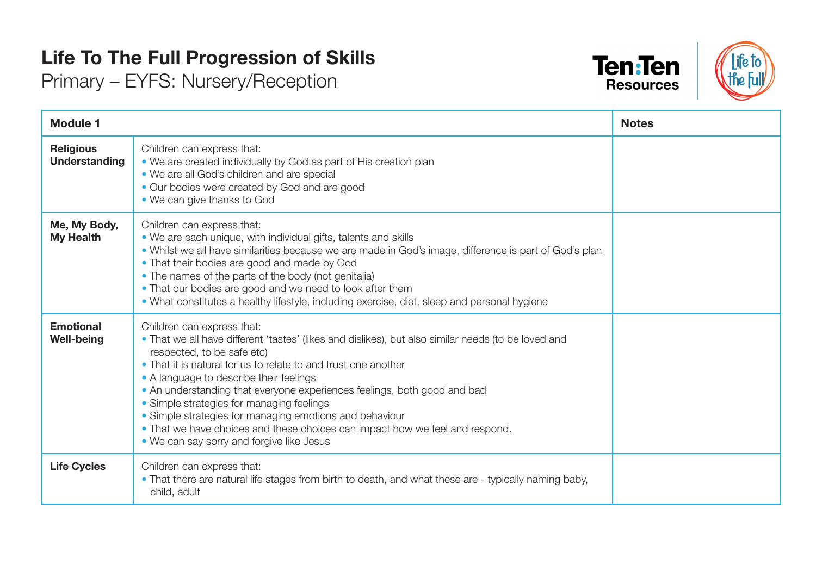## **Life To The Full Progression of Skills**

Primary – EYFS: Nursery/Reception





| <b>Module 1</b>                       |                                                                                                                                                                                                                                                                                                                                                                                                                                                                                                                                                                                               | <b>Notes</b> |
|---------------------------------------|-----------------------------------------------------------------------------------------------------------------------------------------------------------------------------------------------------------------------------------------------------------------------------------------------------------------------------------------------------------------------------------------------------------------------------------------------------------------------------------------------------------------------------------------------------------------------------------------------|--------------|
| <b>Religious</b><br>Understanding     | Children can express that:<br>• We are created individually by God as part of His creation plan<br>• We are all God's children and are special<br>• Our bodies were created by God and are good<br>• We can give thanks to God                                                                                                                                                                                                                                                                                                                                                                |              |
| Me, My Body,<br><b>My Health</b>      | Children can express that:<br>. We are each unique, with individual gifts, talents and skills<br>. Whilst we all have similarities because we are made in God's image, difference is part of God's plan<br>• That their bodies are good and made by God<br>• The names of the parts of the body (not genitalia)<br>• That our bodies are good and we need to look after them<br>. What constitutes a healthy lifestyle, including exercise, diet, sleep and personal hygiene                                                                                                                  |              |
| <b>Emotional</b><br><b>Well-being</b> | Children can express that:<br>. That we all have different 'tastes' (likes and dislikes), but also similar needs (to be loved and<br>respected, to be safe etc)<br>• That it is natural for us to relate to and trust one another<br>• A language to describe their feelings<br>. An understanding that everyone experiences feelings, both good and bad<br>• Simple strategies for managing feelings<br>• Simple strategies for managing emotions and behaviour<br>• That we have choices and these choices can impact how we feel and respond.<br>• We can say sorry and forgive like Jesus |              |
| <b>Life Cycles</b>                    | Children can express that:<br>• That there are natural life stages from birth to death, and what these are - typically naming baby,<br>child, adult                                                                                                                                                                                                                                                                                                                                                                                                                                           |              |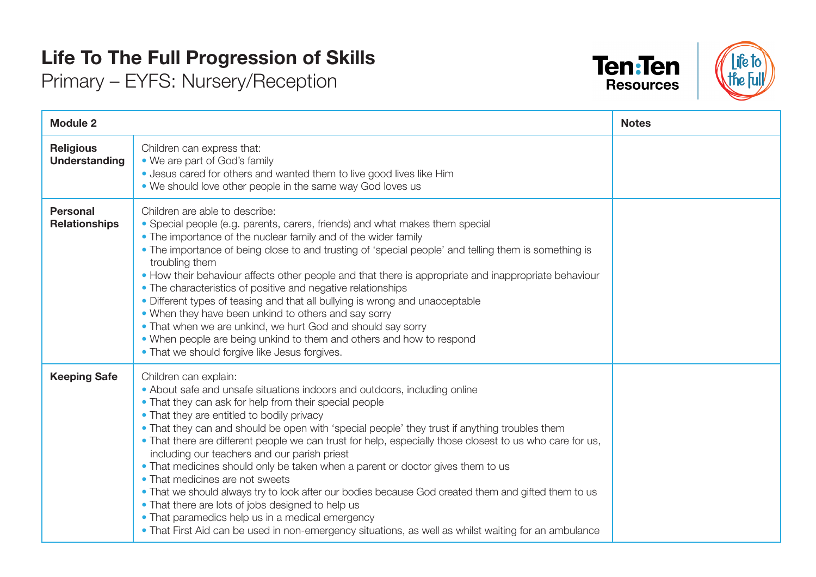## **Life To The Full Progression of Skills**

Primary – EYFS: Nursery/Reception





| <b>Module 2</b>                          |                                                                                                                                                                                                                                                                                                                                                                                                                                                                                                                                                                                                                                                                                                                                                                                                                                                                                                                      | <b>Notes</b> |
|------------------------------------------|----------------------------------------------------------------------------------------------------------------------------------------------------------------------------------------------------------------------------------------------------------------------------------------------------------------------------------------------------------------------------------------------------------------------------------------------------------------------------------------------------------------------------------------------------------------------------------------------------------------------------------------------------------------------------------------------------------------------------------------------------------------------------------------------------------------------------------------------------------------------------------------------------------------------|--------------|
| <b>Religious</b><br><b>Understanding</b> | Children can express that:<br>• We are part of God's family<br>. Jesus cared for others and wanted them to live good lives like Him<br>• We should love other people in the same way God loves us                                                                                                                                                                                                                                                                                                                                                                                                                                                                                                                                                                                                                                                                                                                    |              |
| <b>Personal</b><br><b>Relationships</b>  | Children are able to describe:<br>• Special people (e.g. parents, carers, friends) and what makes them special<br>• The importance of the nuclear family and of the wider family<br>• The importance of being close to and trusting of 'special people' and telling them is something is<br>troubling them<br>• How their behaviour affects other people and that there is appropriate and inappropriate behaviour<br>• The characteristics of positive and negative relationships<br>• Different types of teasing and that all bullying is wrong and unacceptable<br>• When they have been unkind to others and say sorry<br>• That when we are unkind, we hurt God and should say sorry<br>• When people are being unkind to them and others and how to respond<br>• That we should forgive like Jesus forgives.                                                                                                   |              |
| <b>Keeping Safe</b>                      | Children can explain:<br>• About safe and unsafe situations indoors and outdoors, including online<br>• That they can ask for help from their special people<br>• That they are entitled to bodily privacy<br>. That they can and should be open with 'special people' they trust if anything troubles them<br>• That there are different people we can trust for help, especially those closest to us who care for us,<br>including our teachers and our parish priest<br>. That medicines should only be taken when a parent or doctor gives them to us<br>• That medicines are not sweets<br>• That we should always try to look after our bodies because God created them and gifted them to us<br>• That there are lots of jobs designed to help us<br>• That paramedics help us in a medical emergency<br>• That First Aid can be used in non-emergency situations, as well as whilst waiting for an ambulance |              |